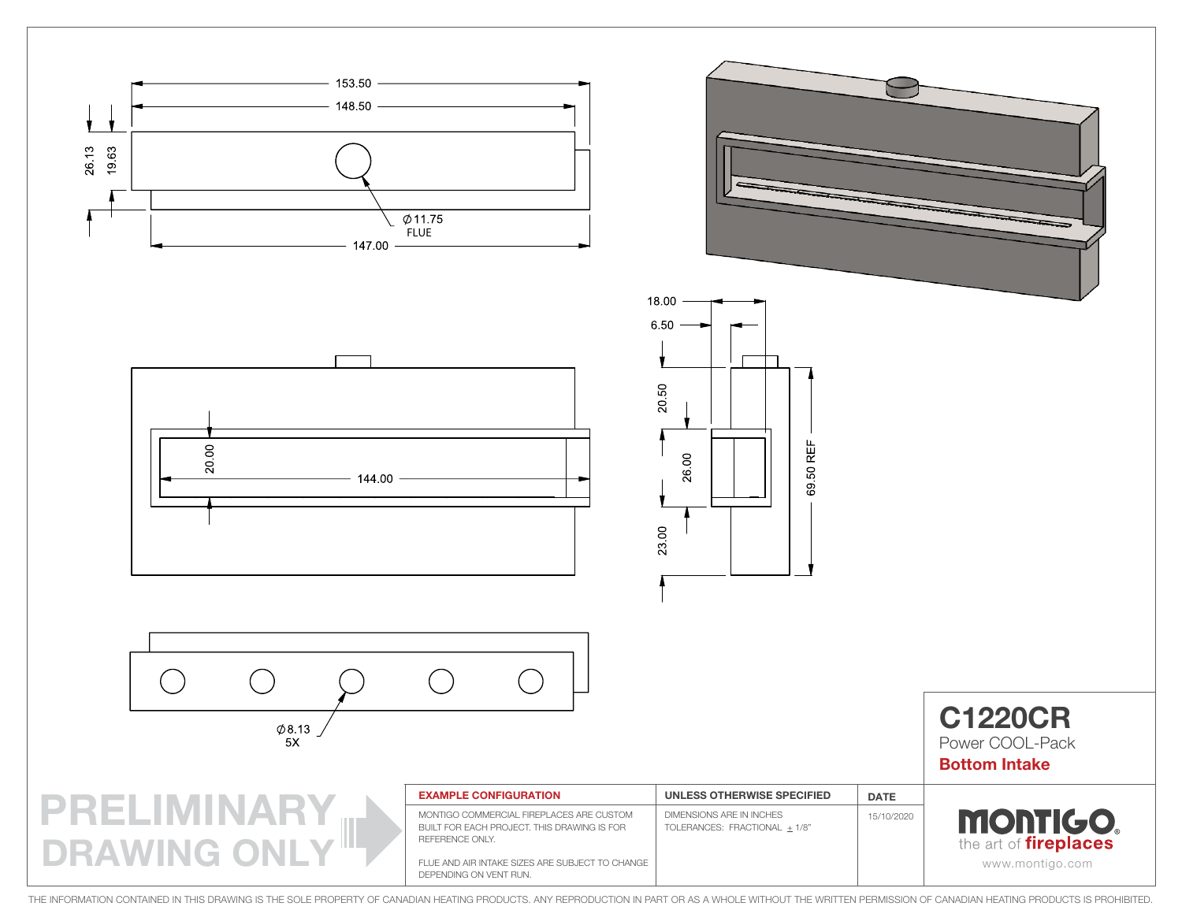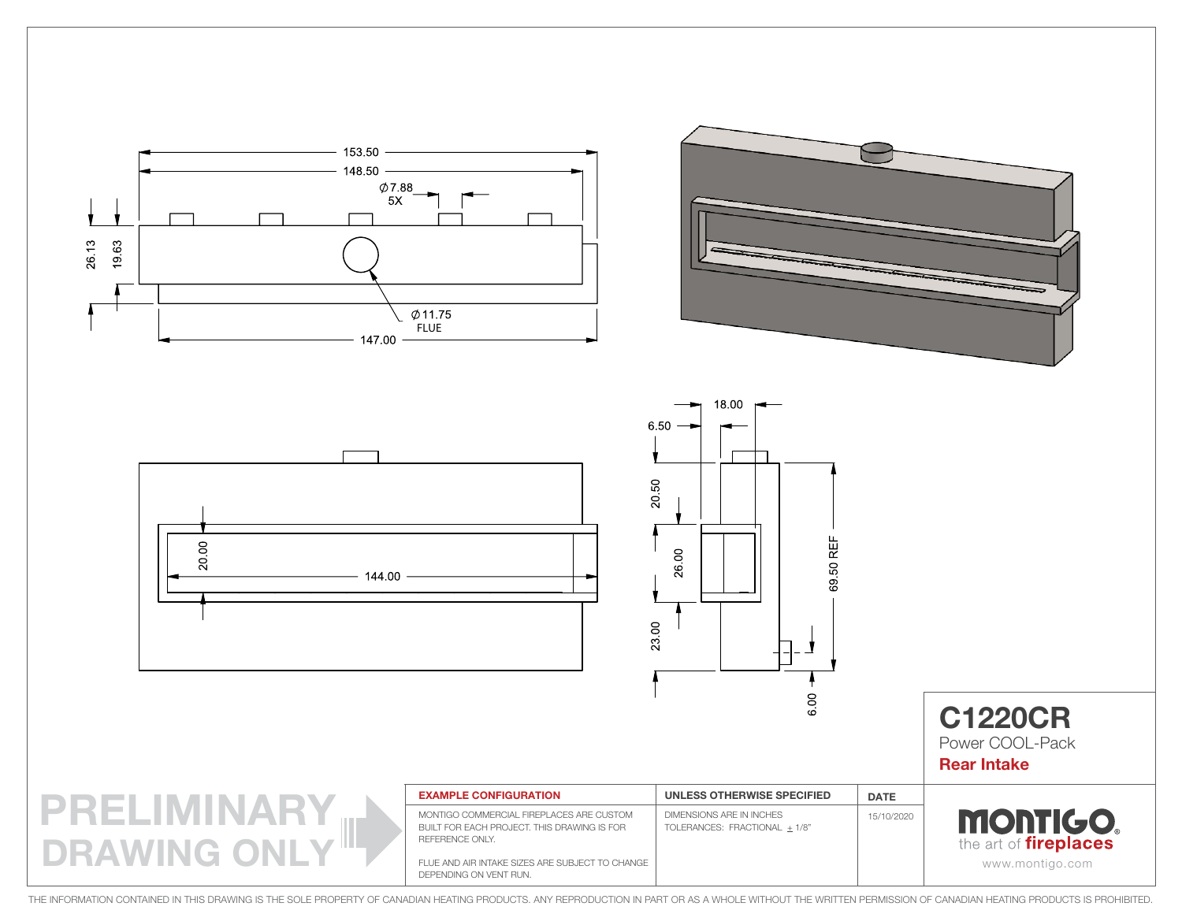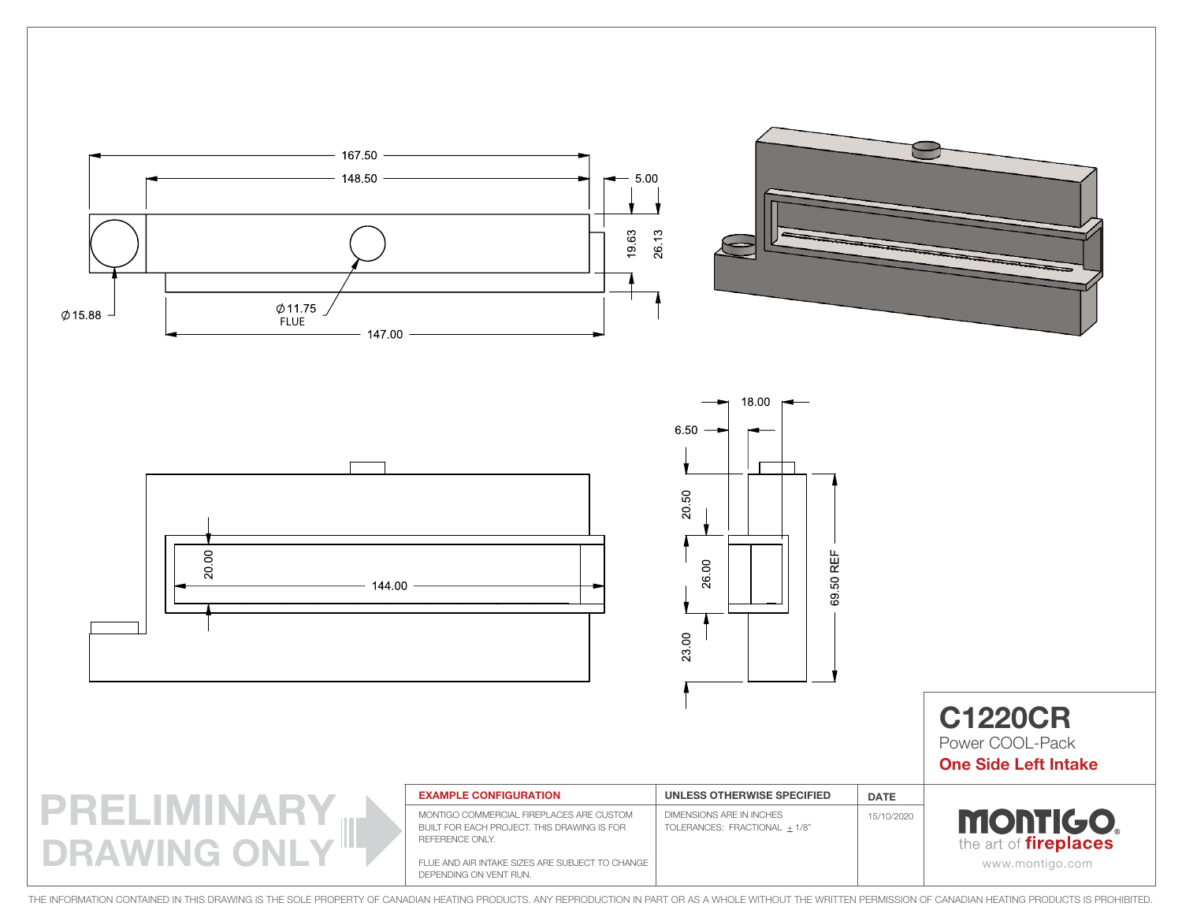